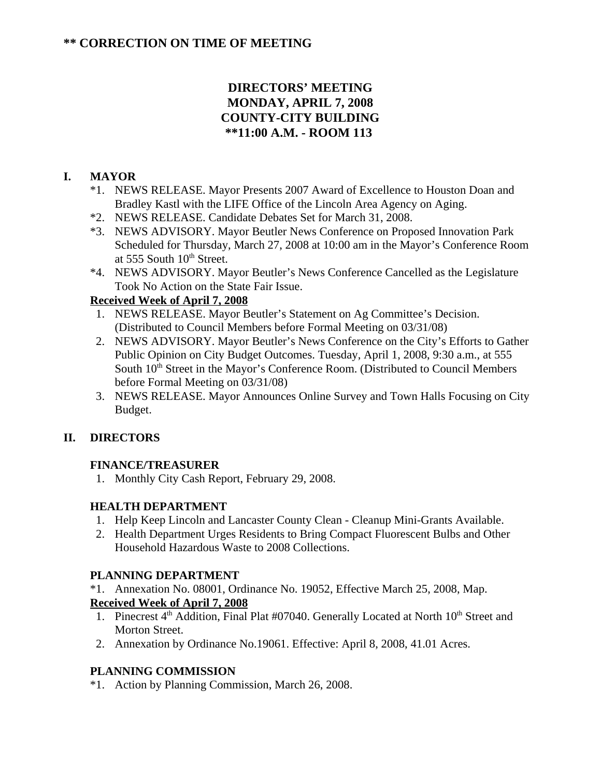# **DIRECTORS' MEETING MONDAY, APRIL 7, 2008 COUNTY-CITY BUILDING \*\*11:00 A.M. - ROOM 113**

## **I. MAYOR**

- \*1. NEWS RELEASE. Mayor Presents 2007 Award of Excellence to Houston Doan and Bradley Kastl with the LIFE Office of the Lincoln Area Agency on Aging.
- \*2. NEWS RELEASE. Candidate Debates Set for March 31, 2008.
- \*3. NEWS ADVISORY. Mayor Beutler News Conference on Proposed Innovation Park Scheduled for Thursday, March 27, 2008 at 10:00 am in the Mayor's Conference Room at  $555$  South  $10<sup>th</sup>$  Street.
- \*4. NEWS ADVISORY. Mayor Beutler's News Conference Cancelled as the Legislature Took No Action on the State Fair Issue.

# **Received Week of April 7, 2008**

- 1. NEWS RELEASE. Mayor Beutler's Statement on Ag Committee's Decision. (Distributed to Council Members before Formal Meeting on 03/31/08)
- 2. NEWS ADVISORY. Mayor Beutler's News Conference on the City's Efforts to Gather Public Opinion on City Budget Outcomes. Tuesday, April 1, 2008, 9:30 a.m., at 555 South  $10<sup>th</sup>$  Street in the Mayor's Conference Room. (Distributed to Council Members before Formal Meeting on 03/31/08)
- 3. NEWS RELEASE. Mayor Announces Online Survey and Town Halls Focusing on City Budget.

## **II. DIRECTORS**

### **FINANCE/TREASURER**

1. Monthly City Cash Report, February 29, 2008.

## **HEALTH DEPARTMENT**

- 1. Help Keep Lincoln and Lancaster County Clean Cleanup Mini-Grants Available.
- 2. Health Department Urges Residents to Bring Compact Fluorescent Bulbs and Other Household Hazardous Waste to 2008 Collections.

## **PLANNING DEPARTMENT**

\*1. Annexation No. 08001, Ordinance No. 19052, Effective March 25, 2008, Map. **Received Week of April 7, 2008**

- 1. Pinecrest 4<sup>th</sup> Addition, Final Plat #07040. Generally Located at North 10<sup>th</sup> Street and Morton Street.
- 2. Annexation by Ordinance No.19061. Effective: April 8, 2008, 41.01 Acres.

## **PLANNING COMMISSION**

\*1. Action by Planning Commission, March 26, 2008.